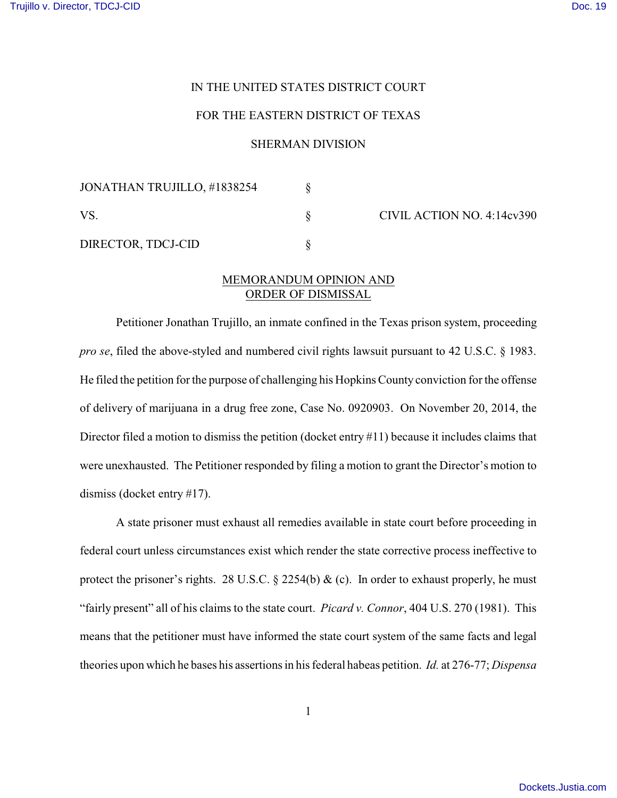ACTION NO. 4:14cv390

## IN THE UNITED STATES DISTRICT COURT

## FOR THE EASTERN DISTRICT OF TEXAS

## SHERMAN DIVISION

| JONATHAN TRUJILLO, #1838254 |  | CIVIL |
|-----------------------------|--|-------|
| VS.                         |  |       |
| DIRECTOR, TDCJ-CID          |  |       |

## MEMORANDUM OPINION AND ORDER OF DISMISSAL

Petitioner Jonathan Trujillo, an inmate confined in the Texas prison system, proceeding *pro se*, filed the above-styled and numbered civil rights lawsuit pursuant to 42 U.S.C. § 1983. He filed the petition for the purpose of challenging his Hopkins County conviction for the offense of delivery of marijuana in a drug free zone, Case No. 0920903. On November 20, 2014, the Director filed a motion to dismiss the petition (docket entry #11) because it includes claims that were unexhausted. The Petitioner responded by filing a motion to grant the Director's motion to dismiss (docket entry #17).

A state prisoner must exhaust all remedies available in state court before proceeding in federal court unless circumstances exist which render the state corrective process ineffective to protect the prisoner's rights. 28 U.S.C.  $\S$  2254(b) & (c). In order to exhaust properly, he must "fairly present" all of his claims to the state court. *Picard v. Connor*, 404 U.S. 270 (1981). This means that the petitioner must have informed the state court system of the same facts and legal theories upon which he bases his assertions in his federal habeas petition. *Id.* at 276-77; *Dispensa*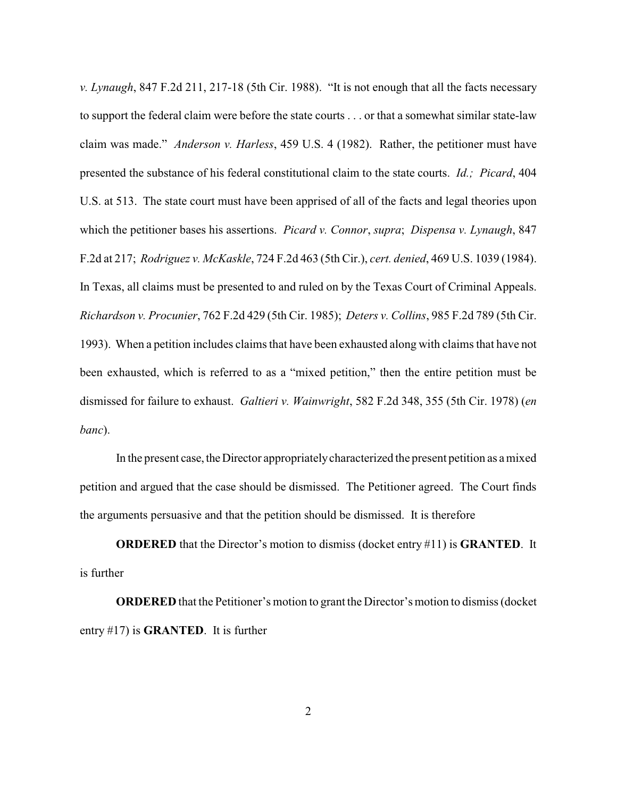*v. Lynaugh*, 847 F.2d 211, 217-18 (5th Cir. 1988). "It is not enough that all the facts necessary to support the federal claim were before the state courts . . . or that a somewhat similar state-law claim was made." *Anderson v. Harless*, 459 U.S. 4 (1982). Rather, the petitioner must have presented the substance of his federal constitutional claim to the state courts. *Id.; Picard*, 404 U.S. at 513. The state court must have been apprised of all of the facts and legal theories upon which the petitioner bases his assertions. *Picard v. Connor*, *supra*; *Dispensa v. Lynaugh*, 847 F.2d at 217; *Rodriguez v. McKaskle*, 724 F.2d 463 (5th Cir.), *cert. denied*, 469 U.S. 1039 (1984). In Texas, all claims must be presented to and ruled on by the Texas Court of Criminal Appeals. *Richardson v. Procunier*, 762 F.2d 429 (5th Cir. 1985); *Deters v. Collins*, 985 F.2d 789 (5th Cir. 1993). When a petition includes claims that have been exhausted along with claims that have not been exhausted, which is referred to as a "mixed petition," then the entire petition must be dismissed for failure to exhaust. *Galtieri v. Wainwright*, 582 F.2d 348, 355 (5th Cir. 1978) (*en banc*).

In the present case, the Director appropriately characterized the present petition as a mixed petition and argued that the case should be dismissed. The Petitioner agreed. The Court finds the arguments persuasive and that the petition should be dismissed. It is therefore

**ORDERED** that the Director's motion to dismiss (docket entry #11) is **GRANTED**. It is further

**ORDERED** that the Petitioner's motion to grant the Director's motion to dismiss (docket entry #17) is **GRANTED**. It is further